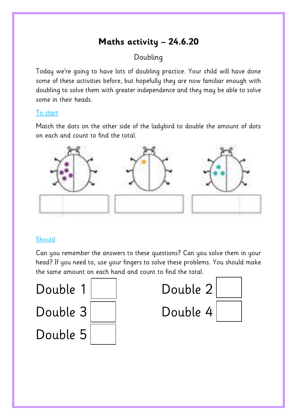# **Maths activity – 24.6.20**

# Doubling

Today we're going to have lots of doubling practice. Your child will have done some of these activities before, but hopefully they are now familiar enough with doubling to solve them with greater independence and they may be able to solve some in their heads.

#### To start

Match the dots on the other side of the ladybird to double the amount of dots on each and count to find the total.



### **Should**

Can you remember the answers to these questions? Can you solve them in your head? If you need to, use your fingers to solve these problems. You should make the same amount on each hand and count to find the total.

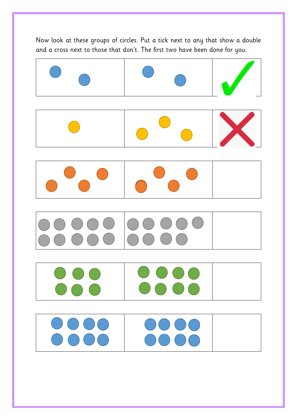Now look at these groups of circles. Put a tick next to any that show a double and a cross next to those that don't. The first two have been done for you.